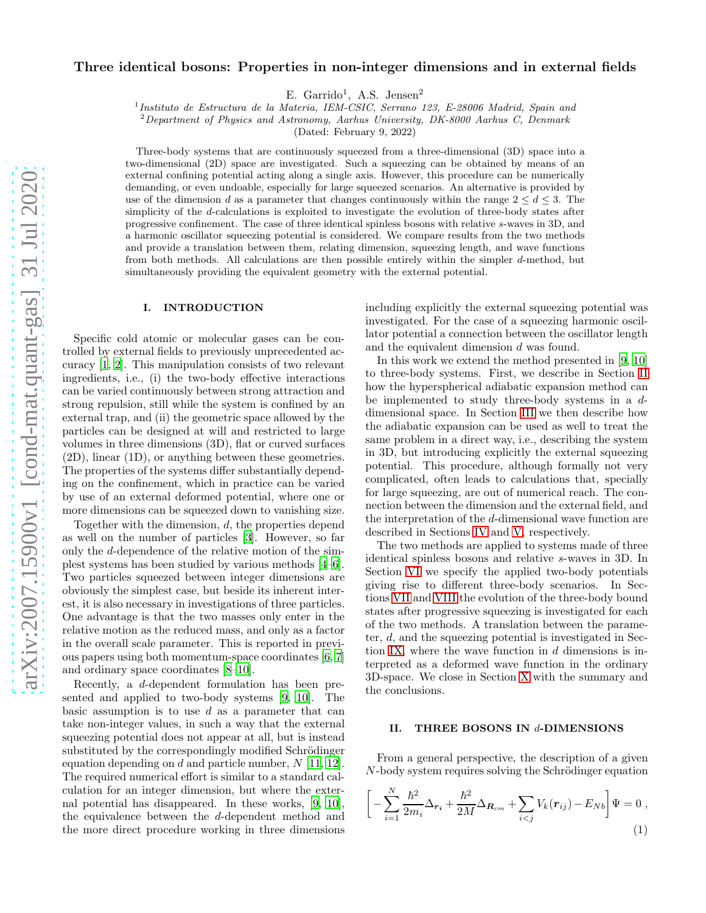# Three identical bosons: Properties in non-integer dimensions and in external fields

E. Garrido<sup>1</sup>, A.S. Jensen<sup>2</sup>

1 Instituto de Estructura de la Materia, IEM-CSIC, Serrano 123, E-28006 Madrid, Spain and

 $2$ Department of Physics and Astronomy, Aarhus University, DK-8000 Aarhus C, Denmark

(Dated: February 9, 2022)

Three-body systems that are continuously squeezed from a three-dimensional (3D) space into a two-dimensional (2D) space are investigated. Such a squeezing can be obtained by means of an external confining potential acting along a single axis. However, this procedure can be numerically demanding, or even undoable, especially for large squeezed scenarios. An alternative is provided by use of the dimension d as a parameter that changes continuously within the range  $2 \leq d \leq 3$ . The simplicity of the d-calculations is exploited to investigate the evolution of three-body states after progressive confinement. The case of three identical spinless bosons with relative s-waves in 3D, and a harmonic oscillator squeezing potential is considered. We compare results from the two methods and provide a translation between them, relating dimension, squeezing length, and wave functions from both methods. All calculations are then possible entirely within the simpler d-method, but simultaneously providing the equivalent geometry with the external potential.

### I. INTRODUCTION

Specific cold atomic or molecular gases can be controlled by external fields to previously unprecedented accuracy [\[1,](#page-12-0) [2\]](#page-12-1). This manipulation consists of two relevant ingredients, i.e., (i) the two-body effective interactions can be varied continuously between strong attraction and strong repulsion, still while the system is confined by an external trap, and (ii) the geometric space allowed by the particles can be designed at will and restricted to large volumes in three dimensions (3D), flat or curved surfaces (2D), linear (1D), or anything between these geometries. The properties of the systems differ substantially depending on the confinement, which in practice can be varied by use of an external deformed potential, where one or more dimensions can be squeezed down to vanishing size.

Together with the dimension, d, the properties depend as well on the number of particles [\[3](#page-12-2)]. However, so far only the d-dependence of the relative motion of the simplest systems has been studied by various methods [\[4](#page-12-3)[–6\]](#page-12-4). Two particles squeezed between integer dimensions are obviously the simplest case, but beside its inherent interest, it is also necessary in investigations of three particles. One advantage is that the two masses only enter in the relative motion as the reduced mass, and only as a factor in the overall scale parameter. This is reported in previous papers using both momentum-space coordinates [\[6](#page-12-4), [7](#page-12-5)] and ordinary space coordinates [\[8](#page-12-6)[–10\]](#page-12-7).

Recently, a d-dependent formulation has been presented and applied to two-body systems [\[9,](#page-12-8) [10](#page-12-7)]. The basic assumption is to use  $d$  as a parameter that can take non-integer values, in such a way that the external squeezing potential does not appear at all, but is instead substituted by the correspondingly modified Schrödinger equation depending on  $d$  and particle number,  $N$  [\[11](#page-12-9), [12\]](#page-12-10). The required numerical effort is similar to a standard calculation for an integer dimension, but where the external potential has disappeared. In these works, [\[9](#page-12-8), [10\]](#page-12-7), the equivalence between the d-dependent method and the more direct procedure working in three dimensions

including explicitly the external squeezing potential was investigated. For the case of a squeezing harmonic oscillator potential a connection between the oscillator length and the equivalent dimension d was found.

In this work we extend the method presented in [\[9,](#page-12-8) [10](#page-12-7)] to three-body systems. First, we describe in Section [II](#page-0-0) how the hyperspherical adiabatic expansion method can be implemented to study three-body systems in a ddimensional space. In Section [III](#page-2-0) we then describe how the adiabatic expansion can be used as well to treat the same problem in a direct way, i.e., describing the system in 3D, but introducing explicitly the external squeezing potential. This procedure, although formally not very complicated, often leads to calculations that, specially for large squeezing, are out of numerical reach. The connection between the dimension and the external field, and the interpretation of the d-dimensional wave function are described in Sections [IV](#page-3-0) and [V,](#page-4-0) respectively.

The two methods are applied to systems made of three identical spinless bosons and relative s-waves in 3D. In Section [VI](#page-5-0) we specify the applied two-body potentials giving rise to different three-body scenarios. In Sections [VII](#page-6-0) and [VIII](#page-7-0) the evolution of the three-body bound states after progressive squeezing is investigated for each of the two methods. A translation between the parameter, d, and the squeezing potential is investigated in Sec-tion [IX,](#page-8-0) where the wave function in  $d$  dimensions is interpreted as a deformed wave function in the ordinary 3D-space. We close in Section [X](#page-11-0) with the summary and the conclusions.

## <span id="page-0-0"></span>II. THREE BOSONS IN d-DIMENSIONS

From a general perspective, the description of a given  $N$ -body system requires solving the Schrödinger equation

<span id="page-0-1"></span>
$$
\[ -\sum_{i=1}^{N} \frac{\hbar^2}{2m_i} \Delta_{\mathbf{r}_i} + \frac{\hbar^2}{2M} \Delta_{\mathbf{R}_{cm}} + \sum_{i < j} V_k(\mathbf{r}_{ij}) - E_{Nb} \] \Psi = 0 \,, \tag{1}
$$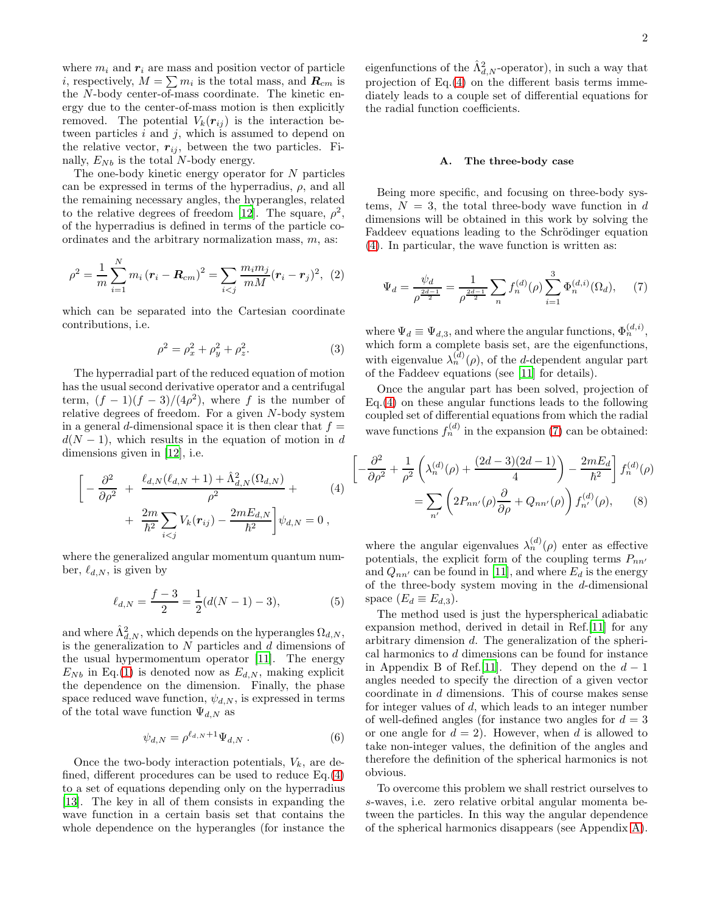where  $m_i$  and  $r_i$  are mass and position vector of particle *i*, respectively,  $M = \sum m_i$  is the total mass, and  $\mathbf{R}_{cm}$  is the N-body center-of-mass coordinate. The kinetic energy due to the center-of-mass motion is then explicitly removed. The potential  $V_k(r_{ij})$  is the interaction between particles  $i$  and  $j$ , which is assumed to depend on the relative vector,  $r_{ij}$ , between the two particles. Finally,  $E_{Nb}$  is the total N-body energy.

The one-body kinetic energy operator for  $N$  particles can be expressed in terms of the hyperradius,  $\rho$ , and all the remaining necessary angles, the hyperangles, related to the relative degrees of freedom [\[12](#page-12-10)]. The square,  $\rho^2$ , of the hyperradius is defined in terms of the particle coordinates and the arbitrary normalization mass,  $m$ , as:

<span id="page-1-2"></span>
$$
\rho^2 = \frac{1}{m} \sum_{i=1}^{N} m_i (\mathbf{r}_i - \mathbf{R}_{cm})^2 = \sum_{i < j} \frac{m_i m_j}{m M} (\mathbf{r}_i - \mathbf{r}_j)^2, \tag{2}
$$

which can be separated into the Cartesian coordinate contributions, i.e.

<span id="page-1-3"></span>
$$
\rho^2 = \rho_x^2 + \rho_y^2 + \rho_z^2. \tag{3}
$$

 $\sqrt{ }$ 

The hyperradial part of the reduced equation of motion has the usual second derivative operator and a centrifugal term,  $(f-1)(f-3)/(4\rho^2)$ , where f is the number of relative degrees of freedom. For a given N-body system in a general d-dimensional space it is then clear that  $f =$  $d(N-1)$ , which results in the equation of motion in d dimensions given in [\[12\]](#page-12-10), i.e.

<span id="page-1-0"></span>
$$
\left[ -\frac{\partial^2}{\partial \rho^2} + \frac{\ell_{d,N}(\ell_{d,N}+1) + \hat{\Lambda}_{d,N}^2(\Omega_{d,N})}{\rho^2} + \frac{2m}{\hbar^2} \sum_{i < j} V_k(\mathbf{r}_{ij}) - \frac{2mE_{d,N}}{\hbar^2} \right] \psi_{d,N} = 0,
$$
\n(4)

where the generalized angular momentum quantum number,  $\ell_{d,N}$ , is given by

<span id="page-1-5"></span>
$$
\ell_{d,N} = \frac{f-3}{2} = \frac{1}{2}(d(N-1) - 3),\tag{5}
$$

and where  $\hat{\Lambda}_{d,N}^2$ , which depends on the hyperangles  $\Omega_{d,N},$ is the generalization to  $N$  particles and  $d$  dimensions of the usual hypermomentum operator [\[11\]](#page-12-9). The energy  $E_{Nb}$  in Eq.[\(1\)](#page-0-1) is denoted now as  $E_{d,N}$ , making explicit the dependence on the dimension. Finally, the phase space reduced wave function,  $\psi_{d,N}$ , is expressed in terms of the total wave function  $\Psi_{d,N}$  as

$$
\psi_{d,N} = \rho^{\ell_{d,N}+1} \Psi_{d,N} . \tag{6}
$$

Once the two-body interaction potentials,  $V_k$ , are defined, different procedures can be used to reduce Eq.[\(4\)](#page-1-0) to a set of equations depending only on the hyperradius [\[13\]](#page-12-11). The key in all of them consists in expanding the wave function in a certain basis set that contains the whole dependence on the hyperangles (for instance the

eigenfunctions of the  $\hat{\Lambda}_{d,N}^2$ -operator), in such a way that projection of Eq.[\(4\)](#page-1-0) on the different basis terms immediately leads to a couple set of differential equations for the radial function coefficients.

#### A. The three-body case

Being more specific, and focusing on three-body systems,  $N = 3$ , the total three-body wave function in d dimensions will be obtained in this work by solving the Faddeev equations leading to the Schrödinger equation [\(4\)](#page-1-0). In particular, the wave function is written as:

<span id="page-1-1"></span>
$$
\Psi_d = \frac{\psi_d}{\rho^{\frac{2d-1}{2}}} = \frac{1}{\rho^{\frac{2d-1}{2}}} \sum_n f_n^{(d)}(\rho) \sum_{i=1}^3 \Phi_n^{(d,i)}(\Omega_d), \quad (7)
$$

where  $\Psi_d \equiv \Psi_{d,3}$ , and where the angular functions,  $\Phi_n^{(d,i)}$ , which form a complete basis set, are the eigenfunctions, with eigenvalue  $\lambda_n^{(d)}(\rho)$ , of the d-dependent angular part of the Faddeev equations (see [\[11](#page-12-9)] for details).

Once the angular part has been solved, projection of Eq.[\(4\)](#page-1-0) on these angular functions leads to the following coupled set of differential equations from which the radial wave functions  $f_n^{(d)}$  in the expansion [\(7\)](#page-1-1) can be obtained:

<span id="page-1-4"></span>
$$
-\frac{\partial^2}{\partial \rho^2} + \frac{1}{\rho^2} \left( \lambda_n^{(d)}(\rho) + \frac{(2d-3)(2d-1)}{4} \right) - \frac{2mE_d}{\hbar^2} \Bigg] f_n^{(d)}(\rho)
$$
  
= 
$$
\sum_{n'} \left( 2P_{nn'}(\rho) \frac{\partial}{\partial \rho} + Q_{nn'}(\rho) \right) f_{n'}^{(d)}(\rho), \qquad (8)
$$

where the angular eigenvalues  $\lambda_n^{(d)}(\rho)$  enter as effective potentials, the explicit form of the coupling terms  $P_{nn'}$ and  $Q_{nn'}$  can be found in [\[11](#page-12-9)], and where  $E_d$  is the energy of the three-body system moving in the  $d$ -dimensional space  $(E_d \equiv E_{d,3})$ .

The method used is just the hyperspherical adiabatic expansion method, derived in detail in Ref.[\[11\]](#page-12-9) for any arbitrary dimension d. The generalization of the spherical harmonics to d dimensions can be found for instance in Appendix B of Ref.[\[11](#page-12-9)]. They depend on the  $d-1$ angles needed to specify the direction of a given vector coordinate in d dimensions. This of course makes sense for integer values of d, which leads to an integer number of well-defined angles (for instance two angles for  $d = 3$ ) or one angle for  $d = 2$ . However, when d is allowed to take non-integer values, the definition of the angles and therefore the definition of the spherical harmonics is not obvious.

To overcome this problem we shall restrict ourselves to s-waves, i.e. zero relative orbital angular momenta between the particles. In this way the angular dependence of the spherical harmonics disappears (see Appendix [A\)](#page-12-12).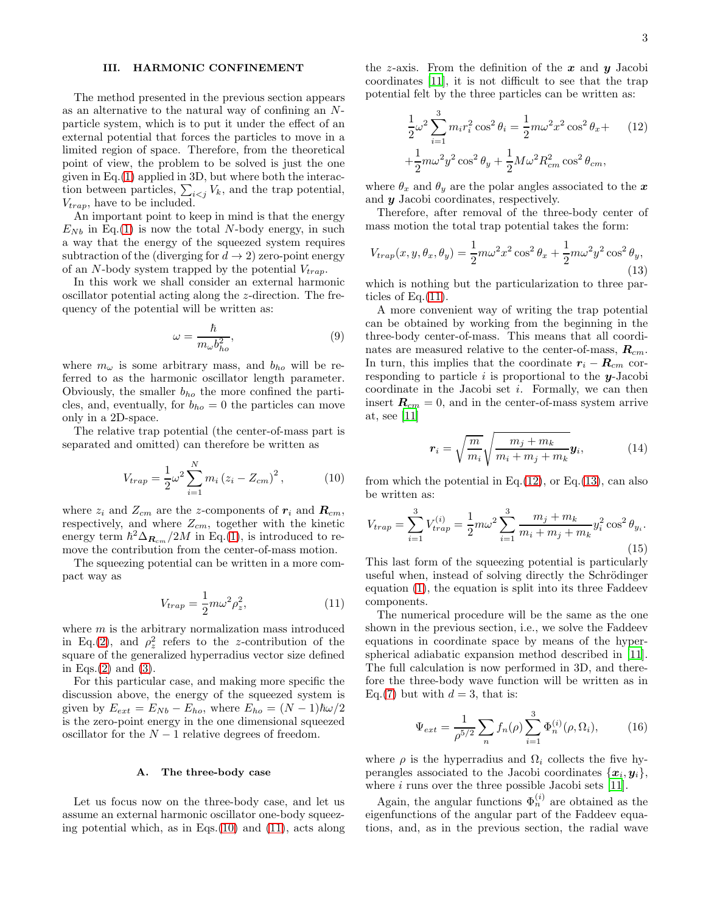# <span id="page-2-0"></span>III. HARMONIC CONFINEMENT

The method presented in the previous section appears as an alternative to the natural way of confining an Nparticle system, which is to put it under the effect of an external potential that forces the particles to move in a limited region of space. Therefore, from the theoretical point of view, the problem to be solved is just the one given in Eq.[\(1\)](#page-0-1) applied in 3D, but where both the interaction between particles,  $\sum_{i < j} V_k$ , and the trap potential,  $V_{trap}$ , have to be included.

An important point to keep in mind is that the energy  $E_{Nb}$  in Eq.[\(1\)](#page-0-1) is now the total N-body energy, in such a way that the energy of the squeezed system requires subtraction of the (diverging for  $d \to 2$ ) zero-point energy of an N-body system trapped by the potential  $V_{tran}$ .

In this work we shall consider an external harmonic oscillator potential acting along the z-direction. The frequency of the potential will be written as:

<span id="page-2-7"></span>
$$
\omega = \frac{\hbar}{m_{\omega}b_{ho}^2},\tag{9}
$$

where  $m_{\omega}$  is some arbitrary mass, and  $b_{ho}$  will be referred to as the harmonic oscillator length parameter. Obviously, the smaller  $b_{ho}$  the more confined the particles, and, eventually, for  $b_{ho} = 0$  the particles can move only in a 2D-space.

The relative trap potential (the center-of-mass part is separated and omitted) can therefore be written as

<span id="page-2-1"></span>
$$
V_{trap} = \frac{1}{2}\omega^2 \sum_{i=1}^{N} m_i (z_i - Z_{cm})^2, \qquad (10)
$$

where  $z_i$  and  $Z_{cm}$  are the z-components of  $r_i$  and  $R_{cm}$ , respectively, and where  $Z_{cm}$ , together with the kinetic energy term  $\hbar^2 \Delta_{\mathbf{R}_{cm}}/2M$  in Eq.[\(1\)](#page-0-1), is introduced to remove the contribution from the center-of-mass motion.

The squeezing potential can be written in a more compact way as

<span id="page-2-2"></span>
$$
V_{trap} = \frac{1}{2}m\omega^2 \rho_z^2, \qquad (11)
$$

where  $m$  is the arbitrary normalization mass introduced in Eq.[\(2\)](#page-1-2), and  $\rho_z^2$  refers to the z-contribution of the square of the generalized hyperradius vector size defined in Eqs. $(2)$  and  $(3)$ .

For this particular case, and making more specific the discussion above, the energy of the squeezed system is given by  $E_{ext} = E_{Nb} - E_{ho}$ , where  $E_{ho} = (N-1)\hbar\omega/2$ is the zero-point energy in the one dimensional squeezed oscillator for the  $N-1$  relative degrees of freedom.

#### <span id="page-2-8"></span>A. The three-body case

Let us focus now on the three-body case, and let us assume an external harmonic oscillator one-body squeezing potential which, as in Eqs. $(10)$  and  $(11)$ , acts along

the z-axis. From the definition of the  $x$  and  $y$  Jacobi coordinates [\[11\]](#page-12-9), it is not difficult to see that the trap potential felt by the three particles can be written as:

<span id="page-2-3"></span>
$$
\frac{1}{2}\omega^2 \sum_{i=1}^3 m_i r_i^2 \cos^2 \theta_i = \frac{1}{2}m\omega^2 x^2 \cos^2 \theta_x +
$$
 (12)  
 
$$
+\frac{1}{2}m\omega^2 y^2 \cos^2 \theta_y + \frac{1}{2}M\omega^2 R_{cm}^2 \cos^2 \theta_{cm},
$$

where  $\theta_x$  and  $\theta_y$  are the polar angles associated to the  $x$ and y Jacobi coordinates, respectively.

Therefore, after removal of the three-body center of mass motion the total trap potential takes the form:

<span id="page-2-4"></span>
$$
V_{trap}(x, y, \theta_x, \theta_y) = \frac{1}{2} m \omega^2 x^2 \cos^2 \theta_x + \frac{1}{2} m \omega^2 y^2 \cos^2 \theta_y,
$$
\n(13)

which is nothing but the particularization to three particles of Eq. $(11)$ .

A more convenient way of writing the trap potential can be obtained by working from the beginning in the three-body center-of-mass. This means that all coordinates are measured relative to the center-of-mass,  $\mathbf{R}_{cm}$ . In turn, this implies that the coordinate  $r_i - R_{cm}$  corresponding to particle i is proportional to the  $y$ -Jacobi coordinate in the Jacobi set  $i$ . Formally, we can then insert  $\mathbf{R}_{cm} = 0$ , and in the center-of-mass system arrive at, see [\[11\]](#page-12-9)

$$
\boldsymbol{r}_i = \sqrt{\frac{m}{m_i}} \sqrt{\frac{m_j + m_k}{m_i + m_j + m_k}} \boldsymbol{y}_i, \tag{14}
$$

from which the potential in Eq. $(12)$ , or Eq. $(13)$ , can also be written as:

<span id="page-2-6"></span>
$$
V_{trap} = \sum_{i=1}^{3} V_{trap}^{(i)} = \frac{1}{2} m\omega^2 \sum_{i=1}^{3} \frac{m_j + m_k}{m_i + m_j + m_k} y_i^2 \cos^2 \theta_{y_i}.
$$
\n(15)

This last form of the squeezing potential is particularly useful when, instead of solving directly the Schrödinger equation [\(1\)](#page-0-1), the equation is split into its three Faddeev components.

The numerical procedure will be the same as the one shown in the previous section, i.e., we solve the Faddeev equations in coordinate space by means of the hyperspherical adiabatic expansion method described in [\[11\]](#page-12-9). The full calculation is now performed in 3D, and therefore the three-body wave function will be written as in Eq.[\(7\)](#page-1-1) but with  $d = 3$ , that is:

<span id="page-2-5"></span>
$$
\Psi_{ext} = \frac{1}{\rho^{5/2}} \sum_{n} f_n(\rho) \sum_{i=1}^{3} \Phi_n^{(i)}(\rho, \Omega_i), \tag{16}
$$

where  $\rho$  is the hyperradius and  $\Omega_i$  collects the five hyperangles associated to the Jacobi coordinates  $\{x_i, y_i\},$ where  $i$  runs over the three possible Jacobi sets [\[11\]](#page-12-9).

Again, the angular functions  $\Phi_n^{(i)}$  are obtained as the eigenfunctions of the angular part of the Faddeev equations, and, as in the previous section, the radial wave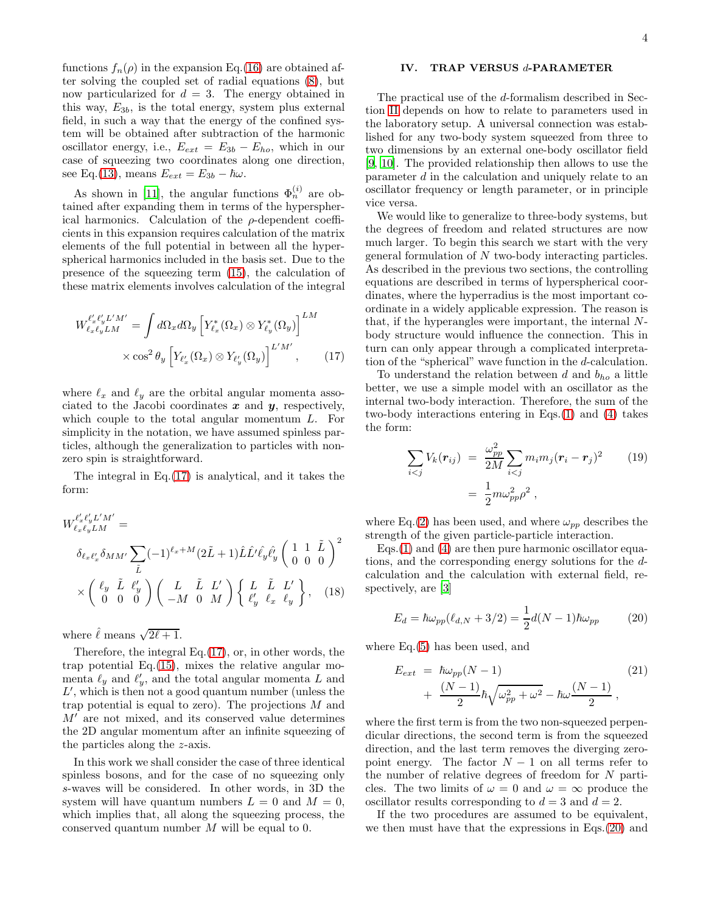functions  $f_n(\rho)$  in the expansion Eq.[\(16\)](#page-2-5) are obtained after solving the coupled set of radial equations [\(8\)](#page-1-4), but now particularized for  $d = 3$ . The energy obtained in this way,  $E_{3b}$ , is the total energy, system plus external field, in such a way that the energy of the confined system will be obtained after subtraction of the harmonic oscillator energy, i.e.,  $E_{ext} = E_{3b} - E_{ho}$ , which in our case of squeezing two coordinates along one direction, see Eq.[\(13\)](#page-2-4), means  $E_{ext} = E_{3b} - \hbar \omega$ .

As shown in [\[11\]](#page-12-9), the angular functions  $\Phi_n^{(i)}$  are obtained after expanding them in terms of the hyperspherical harmonics. Calculation of the  $\rho$ -dependent coefficients in this expansion requires calculation of the matrix elements of the full potential in between all the hyperspherical harmonics included in the basis set. Due to the presence of the squeezing term [\(15\)](#page-2-6), the calculation of these matrix elements involves calculation of the integral

<span id="page-3-1"></span>
$$
W_{\ell_x \ell_y L M}^{\ell'_x \ell'_y L'M'} = \int d\Omega_x d\Omega_y \left[ Y_{\ell_x}^*(\Omega_x) \otimes Y_{\ell_y}^*(\Omega_y) \right]^{LM} \times \cos^2 \theta_y \left[ Y_{\ell_x}(\Omega_x) \otimes Y_{\ell_y}(\Omega_y) \right]^{L'M'}, \qquad (17)
$$

where  $\ell_x$  and  $\ell_y$  are the orbital angular momenta associated to the Jacobi coordinates  $x$  and  $y$ , respectively, which couple to the total angular momentum L. For simplicity in the notation, we have assumed spinless particles, although the generalization to particles with nonzero spin is straightforward.

The integral in Eq.[\(17\)](#page-3-1) is analytical, and it takes the form:

<span id="page-3-5"></span>
$$
W_{\ell_x\ell_yL}^{\ell'_x\ell'_yL'M'} =
$$
  
\n
$$
\delta_{\ell_x\ell'_x}\delta_{MM'}\sum_{\tilde{L}}(-1)^{\ell_x+M}(2\tilde{L}+1)\hat{L}\hat{L'}\hat{\ell}_y\hat{\ell}'_y\begin{pmatrix} 1 & 1 & \tilde{L} \\ 0 & 0 & 0 \end{pmatrix}^2
$$
  
\n
$$
\times \begin{pmatrix} \ell_y & \tilde{L} & \ell'_y \\ 0 & 0 & 0 \end{pmatrix} \begin{pmatrix} L & \tilde{L} & L' \\ -M & 0 & M \end{pmatrix} \begin{Bmatrix} L & \tilde{L} & L' \\ \ell'_y & \ell_x & \ell_y \end{Bmatrix}, \quad (18)
$$

where  $\hat{\ell}$  means  $\sqrt{2\ell+1}$ .

Therefore, the integral Eq.[\(17\)](#page-3-1), or, in other words, the trap potential Eq.[\(15\)](#page-2-6), mixes the relative angular momenta  $\ell_y$  and  $\ell'_y$ , and the total angular momenta L and  $L'$ , which is then not a good quantum number (unless the trap potential is equal to zero). The projections  $M$  and  $M'$  are not mixed, and its conserved value determines the 2D angular momentum after an infinite squeezing of the particles along the z-axis.

In this work we shall consider the case of three identical spinless bosons, and for the case of no squeezing only s-waves will be considered. In other words, in 3D the system will have quantum numbers  $L = 0$  and  $M = 0$ , which implies that, all along the squeezing process, the conserved quantum number M will be equal to 0.

## <span id="page-3-0"></span>IV. TRAP VERSUS d-PARAMETER

The practical use of the d-formalism described in Section [II](#page-0-0) depends on how to relate to parameters used in the laboratory setup. A universal connection was established for any two-body system squeezed from three to two dimensions by an external one-body oscillator field [\[9,](#page-12-8) [10\]](#page-12-7). The provided relationship then allows to use the parameter d in the calculation and uniquely relate to an oscillator frequency or length parameter, or in principle vice versa.

We would like to generalize to three-body systems, but the degrees of freedom and related structures are now much larger. To begin this search we start with the very general formulation of N two-body interacting particles. As described in the previous two sections, the controlling equations are described in terms of hyperspherical coordinates, where the hyperradius is the most important coordinate in a widely applicable expression. The reason is that, if the hyperangles were important, the internal Nbody structure would influence the connection. This in turn can only appear through a complicated interpretation of the "spherical" wave function in the d-calculation.

To understand the relation between  $d$  and  $b_{ho}$  a little better, we use a simple model with an oscillator as the internal two-body interaction. Therefore, the sum of the two-body interactions entering in Eqs.[\(1\)](#page-0-1) and [\(4\)](#page-1-0) takes the form:

<span id="page-3-4"></span>
$$
\sum_{i < j} V_k(\mathbf{r}_{ij}) = \frac{\omega_{pp}^2}{2M} \sum_{i < j} m_i m_j (\mathbf{r}_i - \mathbf{r}_j)^2 \qquad (19)
$$
\n
$$
= \frac{1}{2} m \omega_{pp}^2 \rho^2 \,,
$$

where Eq.[\(2\)](#page-1-2) has been used, and where  $\omega_{pp}$  describes the strength of the given particle-particle interaction.

Eqs.[\(1\)](#page-0-1) and [\(4\)](#page-1-0) are then pure harmonic oscillator equations, and the corresponding energy solutions for the dcalculation and the calculation with external field, respectively, are [\[3](#page-12-2)]

<span id="page-3-2"></span>
$$
E_d = \hbar \omega_{pp} (\ell_{d,N} + 3/2) = \frac{1}{2} d(N - 1) \hbar \omega_{pp}
$$
 (20)

where Eq.[\(5\)](#page-1-5) has been used, and

<span id="page-3-3"></span>
$$
E_{ext} = \hbar \omega_{pp} (N-1)
$$
\n
$$
+ \frac{(N-1)}{2} \hbar \sqrt{\omega_{pp}^2 + \omega^2} - \hbar \omega \frac{(N-1)}{2},
$$
\n(21)

where the first term is from the two non-squeezed perpendicular directions, the second term is from the squeezed direction, and the last term removes the diverging zeropoint energy. The factor  $N-1$  on all terms refer to the number of relative degrees of freedom for  $N$  particles. The two limits of  $\omega = 0$  and  $\omega = \infty$  produce the oscillator results corresponding to  $d = 3$  and  $d = 2$ .

If the two procedures are assumed to be equivalent, we then must have that the expressions in Eqs.[\(20\)](#page-3-2) and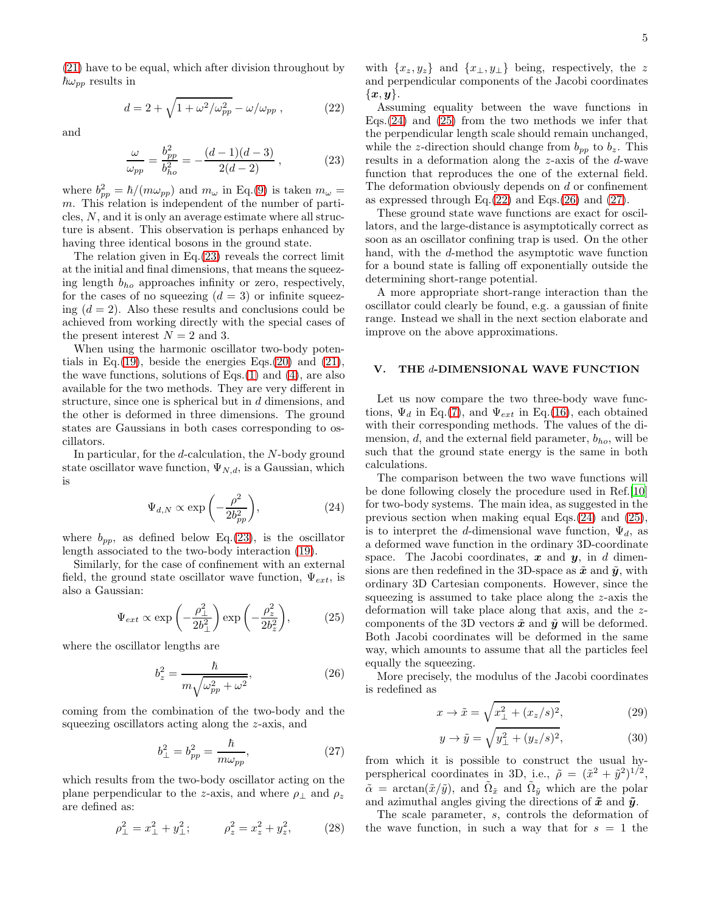[\(21\)](#page-3-3) have to be equal, which after division throughout by  $\hbar\omega_{pp}$  results in

<span id="page-4-4"></span>
$$
d = 2 + \sqrt{1 + \omega^2/\omega_{pp}^2} - \omega/\omega_{pp}, \qquad (22)
$$

and

<span id="page-4-1"></span>
$$
\frac{\omega}{\omega_{pp}} = \frac{b_{pp}^2}{b_{ho}^2} = -\frac{(d-1)(d-3)}{2(d-2)} ,
$$
 (23)

where  $b_{pp}^2 = \hbar/(m\omega_{pp})$  and  $m_\omega$  in Eq.[\(9\)](#page-2-7) is taken  $m_\omega =$ m. This relation is independent of the number of particles,  $N$ , and it is only an average estimate where all structure is absent. This observation is perhaps enhanced by having three identical bosons in the ground state.

The relation given in Eq.[\(23\)](#page-4-1) reveals the correct limit at the initial and final dimensions, that means the squeezing length  $b_{ho}$  approaches infinity or zero, respectively, for the cases of no squeezing  $(d = 3)$  or infinite squeezing  $(d = 2)$ . Also these results and conclusions could be achieved from working directly with the special cases of the present interest  $N = 2$  and 3.

When using the harmonic oscillator two-body poten-tials in Eq.[\(19\)](#page-3-4), beside the energies Eqs.[\(20\)](#page-3-2) and [\(21\)](#page-3-3), the wave functions, solutions of Eqs. $(1)$  and  $(4)$ , are also available for the two methods. They are very different in structure, since one is spherical but in d dimensions, and the other is deformed in three dimensions. The ground states are Gaussians in both cases corresponding to oscillators.

In particular, for the d-calculation, the N-body ground state oscillator wave function,  $\Psi_{N,d}$ , is a Gaussian, which is

<span id="page-4-2"></span>
$$
\Psi_{d,N} \propto \exp\left(-\frac{\rho^2}{2b_{pp}^2}\right),\tag{24}
$$

where  $b_{pp}$ , as defined below Eq.[\(23\)](#page-4-1), is the oscillator length associated to the two-body interaction [\(19\)](#page-3-4).

Similarly, for the case of confinement with an external field, the ground state oscillator wave function,  $\Psi_{ext}$ , is also a Gaussian:

<span id="page-4-3"></span>
$$
\Psi_{ext} \propto \exp\left(-\frac{\rho_{\perp}^2}{2b_{\perp}^2}\right) \exp\left(-\frac{\rho_z^2}{2b_z^2}\right),\tag{25}
$$

where the oscillator lengths are

<span id="page-4-5"></span>
$$
b_z^2 = \frac{\hbar}{m\sqrt{\omega_{pp}^2 + \omega^2}},\tag{26}
$$

coming from the combination of the two-body and the squeezing oscillators acting along the z-axis, and

<span id="page-4-6"></span>
$$
b_{\perp}^2 = b_{pp}^2 = \frac{\hbar}{m\omega_{pp}},\tag{27}
$$

which results from the two-body oscillator acting on the plane perpendicular to the z-axis, and where  $\rho_{\perp}$  and  $\rho_z$ are defined as:

<span id="page-4-8"></span>
$$
\rho_{\perp}^2 = x_{\perp}^2 + y_{\perp}^2; \qquad \rho_z^2 = x_z^2 + y_z^2, \qquad (28)
$$

with  $\{x_z, y_z\}$  and  $\{x_{\perp}, y_{\perp}\}$  being, respectively, the z and perpendicular components of the Jacobi coordinates  $\{x,y\}.$ 

Assuming equality between the wave functions in Eqs.[\(24\)](#page-4-2) and [\(25\)](#page-4-3) from the two methods we infer that the perpendicular length scale should remain unchanged, while the z-direction should change from  $b_{pp}$  to  $b_z$ . This results in a deformation along the z-axis of the d-wave function that reproduces the one of the external field. The deformation obviously depends on  $d$  or confinement as expressed through Eq. $(22)$  and Eqs. $(26)$  and  $(27)$ .

These ground state wave functions are exact for oscillators, and the large-distance is asymptotically correct as soon as an oscillator confining trap is used. On the other hand, with the d-method the asymptotic wave function for a bound state is falling off exponentially outside the determining short-range potential.

A more appropriate short-range interaction than the oscillator could clearly be found, e.g. a gaussian of finite range. Instead we shall in the next section elaborate and improve on the above approximations.

#### <span id="page-4-0"></span>V. THE d-DIMENSIONAL WAVE FUNCTION

Let us now compare the two three-body wave functions,  $\Psi_d$  in Eq.[\(7\)](#page-1-1), and  $\Psi_{ext}$  in Eq.[\(16\)](#page-2-5), each obtained with their corresponding methods. The values of the dimension,  $d$ , and the external field parameter,  $b_{ho}$ , will be such that the ground state energy is the same in both calculations.

The comparison between the two wave functions will be done following closely the procedure used in Ref.[\[10](#page-12-7)] for two-body systems. The main idea, as suggested in the previous section when making equal Eqs.[\(24\)](#page-4-2) and [\(25\)](#page-4-3), is to interpret the d-dimensional wave function,  $\Psi_d$ , as a deformed wave function in the ordinary 3D-coordinate space. The Jacobi coordinates,  $x$  and  $y$ , in d dimensions are then redefined in the 3D-space as  $\tilde{x}$  and  $\tilde{y}$ , with ordinary 3D Cartesian components. However, since the squeezing is assumed to take place along the z-axis the deformation will take place along that axis, and the zcomponents of the 3D vectors  $\tilde{x}$  and  $\tilde{y}$  will be deformed. Both Jacobi coordinates will be deformed in the same way, which amounts to assume that all the particles feel equally the squeezing.

More precisely, the modulus of the Jacobi coordinates is redefined as

<span id="page-4-7"></span>
$$
x \to \tilde{x} = \sqrt{x_{\perp}^2 + (x_z/s)^2},\tag{29}
$$

$$
y \to \tilde{y} = \sqrt{y_{\perp}^2 + (y_z/s)^2},
$$
 (30)

from which it is possible to construct the usual hyperspherical coordinates in 3D, i.e.,  $\tilde{\rho} = (\tilde{x}^2 + \tilde{y}^2)^{1/2}$ ,  $\tilde{\alpha} = \arctan(\tilde{x}/\tilde{y})$ , and  $\tilde{\Omega}_{\tilde{x}}$  and  $\tilde{\Omega}_{\tilde{y}}$  which are the polar and azimuthal angles giving the directions of  $\tilde{x}$  and  $\tilde{y}$ .

The scale parameter, s, controls the deformation of the wave function, in such a way that for  $s = 1$  the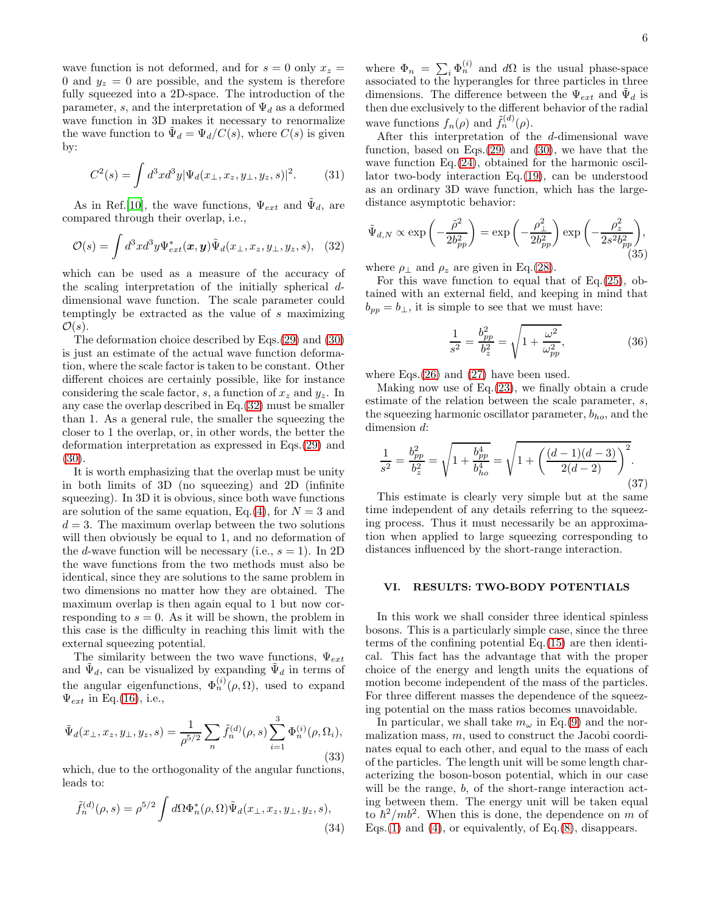wave function is not deformed, and for  $s = 0$  only  $x<sub>z</sub> =$ 0 and  $y_z = 0$  are possible, and the system is therefore fully squeezed into a 2D-space. The introduction of the parameter, s, and the interpretation of  $\Psi_d$  as a deformed wave function in 3D makes it necessary to renormalize the wave function to  $\tilde{\Psi}_d = \Psi_d/C(s)$ , where  $C(s)$  is given by:

$$
C^{2}(s) = \int d^{3}x d^{3}y |\Psi_{d}(x_{\perp}, x_{z}, y_{\perp}, y_{z}, s)|^{2}.
$$
 (31)

As in Ref.[\[10](#page-12-7)], the wave functions,  $\Psi_{ext}$  and  $\tilde{\Psi}_d$ , are compared through their overlap, i.e.,

<span id="page-5-1"></span>
$$
\mathcal{O}(s) = \int d^3x d^3y \Psi_{ext}^*(\boldsymbol{x}, \boldsymbol{y}) \tilde{\Psi}_d(x_\perp, x_z, y_\perp, y_z, s), \quad (32)
$$

which can be used as a measure of the accuracy of the scaling interpretation of the initially spherical ddimensional wave function. The scale parameter could temptingly be extracted as the value of s maximizing  $\mathcal{O}(s)$ .

The deformation choice described by Eqs.[\(29\)](#page-4-7) and [\(30\)](#page-4-7) is just an estimate of the actual wave function deformation, where the scale factor is taken to be constant. Other different choices are certainly possible, like for instance considering the scale factor, s, a function of  $x_z$  and  $y_z$ . In any case the overlap described in Eq.[\(32\)](#page-5-1) must be smaller than 1. As a general rule, the smaller the squeezing the closer to 1 the overlap, or, in other words, the better the deformation interpretation as expressed in Eqs.[\(29\)](#page-4-7) and [\(30\)](#page-4-7).

It is worth emphasizing that the overlap must be unity in both limits of 3D (no squeezing) and 2D (infinite squeezing). In 3D it is obvious, since both wave functions are solution of the same equation, Eq.[\(4\)](#page-1-0), for  $N = 3$  and  $d = 3$ . The maximum overlap between the two solutions will then obviously be equal to 1, and no deformation of the *d*-wave function will be necessary (i.e.,  $s = 1$ ). In 2D the wave functions from the two methods must also be identical, since they are solutions to the same problem in two dimensions no matter how they are obtained. The maximum overlap is then again equal to 1 but now corresponding to  $s = 0$ . As it will be shown, the problem in this case is the difficulty in reaching this limit with the external squeezing potential.

The similarity between the two wave functions,  $\Psi_{ext}$ and  $\tilde{\Psi}_d$ , can be visualized by expanding  $\tilde{\Psi}_d$  in terms of the angular eigenfunctions,  $\Phi_n^{(i)}(\rho,\Omega)$ , used to expand  $\Psi_{ext}$  in Eq.[\(16\)](#page-2-5), i.e.,

<span id="page-5-4"></span>
$$
\tilde{\Psi}_d(x_\perp, x_z, y_\perp, y_z, s) = \frac{1}{\rho^{5/2}} \sum_n \tilde{f}_n^{(d)}(\rho, s) \sum_{i=1}^3 \Phi_n^{(i)}(\rho, \Omega_i),
$$
\n(33)

which, due to the orthogonality of the angular functions, leads to:

<span id="page-5-3"></span>
$$
\tilde{f}_n^{(d)}(\rho, s) = \rho^{5/2} \int d\Omega \Phi_n^*(\rho, \Omega) \tilde{\Psi}_d(x_\perp, x_z, y_\perp, y_z, s),
$$
\n(34)

where  $\Phi_n = \sum_i \Phi_n^{(i)}$  and  $d\Omega$  is the usual phase-space associated to the hyperangles for three particles in three dimensions. The difference between the  $\Psi_{ext}$  and  $\tilde{\Psi}_d$  is then due exclusively to the different behavior of the radial wave functions  $f_n(\rho)$  and  $\tilde{f}_n^{(d)}(\rho)$ .

After this interpretation of the d-dimensional wave function, based on Eqs. $(29)$  and  $(30)$ , we have that the wave function Eq.  $(24)$ , obtained for the harmonic oscillator two-body interaction Eq.[\(19\)](#page-3-4), can be understood as an ordinary 3D wave function, which has the largedistance asymptotic behavior:

$$
\tilde{\Psi}_{d,N} \propto \exp\left(-\frac{\tilde{\rho}^2}{2b_{pp}^2}\right) = \exp\left(-\frac{\rho_\perp^2}{2b_{pp}^2}\right) \exp\left(-\frac{\rho_z^2}{2s^2b_{pp}^2}\right),\tag{35}
$$

where  $\rho_{\perp}$  and  $\rho_z$  are given in Eq.[\(28\)](#page-4-8).

For this wave function to equal that of Eq.[\(25\)](#page-4-3), obtained with an external field, and keeping in mind that  $b_{pp} = b_{\perp}$ , it is simple to see that we must have:

$$
\frac{1}{s^2} = \frac{b_{pp}^2}{b_z^2} = \sqrt{1 + \frac{\omega^2}{\omega_{pp}^2}},
$$
\n(36)

where Eqs.[\(26\)](#page-4-5) and [\(27\)](#page-4-6) have been used.

Making now use of Eq.[\(23\)](#page-4-1), we finally obtain a crude estimate of the relation between the scale parameter, s, the squeezing harmonic oscillator parameter,  $b_{ho}$ , and the dimension d:

<span id="page-5-2"></span>
$$
\frac{1}{s^2} = \frac{b_{pp}^2}{b_z^2} = \sqrt{1 + \frac{b_{pp}^4}{b_{ho}^4}} = \sqrt{1 + \left(\frac{(d-1)(d-3)}{2(d-2)}\right)^2}.
$$
\n(37)

This estimate is clearly very simple but at the same time independent of any details referring to the squeezing process. Thus it must necessarily be an approximation when applied to large squeezing corresponding to distances influenced by the short-range interaction.

## <span id="page-5-0"></span>VI. RESULTS: TWO-BODY POTENTIALS

In this work we shall consider three identical spinless bosons. This is a particularly simple case, since the three terms of the confining potential Eq.[\(15\)](#page-2-6) are then identical. This fact has the advantage that with the proper choice of the energy and length units the equations of motion become independent of the mass of the particles. For three different masses the dependence of the squeezing potential on the mass ratios becomes unavoidable.

In particular, we shall take  $m_\omega$  in Eq.[\(9\)](#page-2-7) and the normalization mass,  $m$ , used to construct the Jacobi coordinates equal to each other, and equal to the mass of each of the particles. The length unit will be some length characterizing the boson-boson potential, which in our case will be the range, b, of the short-range interaction acting between them. The energy unit will be taken equal to  $\hbar^2/mb^2$ . When this is done, the dependence on m of Eqs.[\(1\)](#page-0-1) and [\(4\)](#page-1-0), or equivalently, of Eq. $(8)$ , disappears.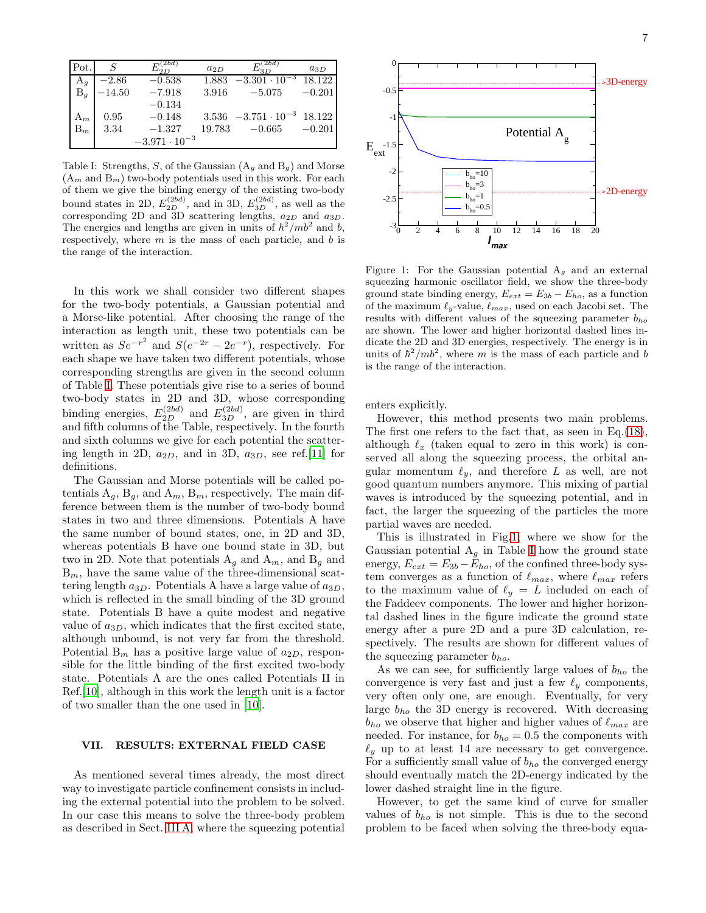| Pot.  | $\overline{S}$ | $L_{2D}^{(\overline{2bd})}$ | $a_{2D}$ | $E^{(\overline{2bd})}_{^3D}$        | $a_{3D}$ |
|-------|----------------|-----------------------------|----------|-------------------------------------|----------|
| $A_g$ | $-2.86$        | $-0.538$                    | 1.883    | $-3.301 \cdot 10^{-3}$              | 18.122   |
| $B_g$ | $-14.50$       | $-7.918$                    | 3.916    | $-5.075$                            | $-0.201$ |
|       |                | $-0.134$                    |          |                                     |          |
| $A_m$ | 0.95           | $-0.148$                    |          | $3.536 -3.751 \cdot 10^{-3} 18.122$ |          |
| $B_m$ | 3.34           | $-1.327$                    | 19.783   | $-0.665$                            | $-0.201$ |
|       |                | $-3.971 \cdot 10^{-3}$      |          |                                     |          |

<span id="page-6-1"></span>Table I: Strengths, S, of the Gaussian  $(A_g \text{ and } B_g)$  and Morse  $(A_m \text{ and } B_m)$  two-body potentials used in this work. For each of them we give the binding energy of the existing two-body bound states in 2D,  $E_{2D}^{(2bd)}$ , and in 3D,  $E_{3D}^{(2bd)}$ , as well as the corresponding 2D and 3D scattering lengths,  $a_{2D}$  and  $a_{3D}$ . The energies and lengths are given in units of  $\hbar^2 / mb^2$  and b, respectively, where  $m$  is the mass of each particle, and  $b$  is the range of the interaction.

In this work we shall consider two different shapes for the two-body potentials, a Gaussian potential and a Morse-like potential. After choosing the range of the interaction as length unit, these two potentials can be written as  $Se^{-r^2}$  and  $S(e^{-2r} - 2e^{-r})$ , respectively. For each shape we have taken two different potentials, whose corresponding strengths are given in the second column of Table [I.](#page-6-1) These potentials give rise to a series of bound two-body states in 2D and 3D, whose corresponding binding energies,  $E_{2D}^{(2bd)}$  and  $E_{3D}^{(2bd)}$ , are given in third and fifth columns of the Table, respectively. In the fourth and sixth columns we give for each potential the scattering length in 2D,  $a_{2D}$ , and in 3D,  $a_{3D}$ , see ref.[\[11](#page-12-9)] for definitions.

The Gaussian and Morse potentials will be called potentials  $A_g$ ,  $B_g$ , and  $A_m$ ,  $B_m$ , respectively. The main difference between them is the number of two-body bound states in two and three dimensions. Potentials A have the same number of bound states, one, in 2D and 3D, whereas potentials B have one bound state in 3D, but two in 2D. Note that potentials  $A_g$  and  $A_m$ , and  $B_g$  and  $B_m$ , have the same value of the three-dimensional scattering length  $a_{3D}$ . Potentials A have a large value of  $a_{3D}$ , which is reflected in the small binding of the 3D ground state. Potentials B have a quite modest and negative value of  $a_{3D}$ , which indicates that the first excited state, although unbound, is not very far from the threshold. Potential  $B_m$  has a positive large value of  $a_{2D}$ , responsible for the little binding of the first excited two-body state. Potentials A are the ones called Potentials II in Ref.[\[10](#page-12-7)], although in this work the length unit is a factor of two smaller than the one used in [\[10](#page-12-7)].

### <span id="page-6-0"></span>VII. RESULTS: EXTERNAL FIELD CASE

As mentioned several times already, the most direct way to investigate particle confinement consists in including the external potential into the problem to be solved. In our case this means to solve the three-body problem as described in Sect. [III A,](#page-2-8) where the squeezing potential



<span id="page-6-2"></span>Figure 1: For the Gaussian potential  $A_q$  and an external squeezing harmonic oscillator field, we show the three-body ground state binding energy,  $E_{ext} = E_{3b} - E_{ho}$ , as a function of the maximum  $\ell_y$ -value,  $\ell_{max}$ , used on each Jacobi set. The results with different values of the squeezing parameter  $b_{ho}$ are shown. The lower and higher horizontal dashed lines indicate the 2D and 3D energies, respectively. The energy is in units of  $\hbar^2 / mb^2$ , where m is the mass of each particle and b is the range of the interaction.

enters explicitly.

However, this method presents two main problems. The first one refers to the fact that, as seen in Eq.[\(18\)](#page-3-5), although  $\ell_x$  (taken equal to zero in this work) is conserved all along the squeezing process, the orbital angular momentum  $\ell_y$ , and therefore L as well, are not good quantum numbers anymore. This mixing of partial waves is introduced by the squeezing potential, and in fact, the larger the squeezing of the particles the more partial waves are needed.

This is illustrated in Fig[.1,](#page-6-2) where we show for the Gaussian potential  $A<sub>g</sub>$  in Table [I](#page-6-1) how the ground state energy,  $E_{ext} = E_{3b} - E_{ho}$ , of the confined three-body system converges as a function of  $\ell_{max}$ , where  $\ell_{max}$  refers to the maximum value of  $\ell_y = L$  included on each of the Faddeev components. The lower and higher horizontal dashed lines in the figure indicate the ground state energy after a pure 2D and a pure 3D calculation, respectively. The results are shown for different values of the squeezing parameter  $b_{ho}$ .

As we can see, for sufficiently large values of  $b_{ho}$  the convergence is very fast and just a few  $\ell_y$  components, very often only one, are enough. Eventually, for very large  $b_{ho}$  the 3D energy is recovered. With decreasing  $b_{ho}$  we observe that higher and higher values of  $\ell_{max}$  are needed. For instance, for  $b_{ho} = 0.5$  the components with  $\ell_y$  up to at least 14 are necessary to get convergence. For a sufficiently small value of  $b_{ho}$  the converged energy should eventually match the 2D-energy indicated by the lower dashed straight line in the figure.

However, to get the same kind of curve for smaller values of  $b_{ho}$  is not simple. This is due to the second problem to be faced when solving the three-body equa-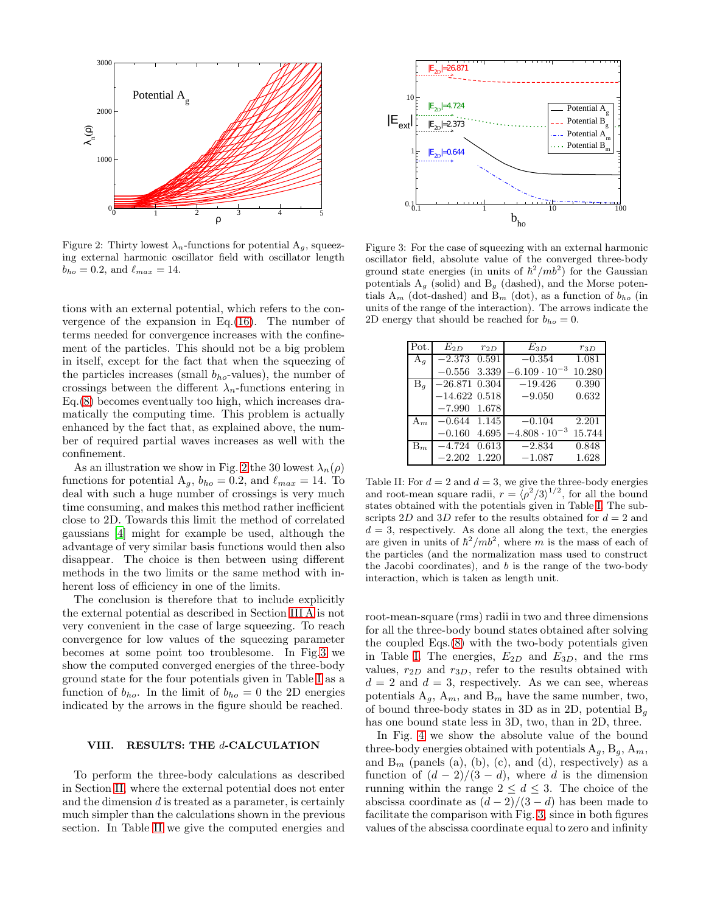

<span id="page-7-1"></span>Figure 2: Thirty lowest  $\lambda_n$ -functions for potential  $A_g$ , squeezing external harmonic oscillator field with oscillator length  $b_{ho} = 0.2$ , and  $\ell_{max} = 14$ .

tions with an external potential, which refers to the convergence of the expansion in Eq.[\(16\)](#page-2-5). The number of terms needed for convergence increases with the confinement of the particles. This should not be a big problem in itself, except for the fact that when the squeezing of the particles increases (small  $b_{ho}$ -values), the number of crossings between the different  $\lambda_n$ -functions entering in Eq.[\(8\)](#page-1-4) becomes eventually too high, which increases dramatically the computing time. This problem is actually enhanced by the fact that, as explained above, the number of required partial waves increases as well with the confinement.

As an illustration we show in Fig. [2](#page-7-1) the 30 lowest  $\lambda_n(\rho)$ functions for potential  $A_g$ ,  $b_{ho} = 0.2$ , and  $\ell_{max} = 14$ . To deal with such a huge number of crossings is very much time consuming, and makes this method rather inefficient close to 2D. Towards this limit the method of correlated gaussians [\[4\]](#page-12-3) might for example be used, although the advantage of very similar basis functions would then also disappear. The choice is then between using different methods in the two limits or the same method with inherent loss of efficiency in one of the limits.

The conclusion is therefore that to include explicitly the external potential as described in Section [III A](#page-2-8) is not very convenient in the case of large squeezing. To reach convergence for low values of the squeezing parameter becomes at some point too troublesome. In Fig[.3](#page-7-2) we show the computed converged energies of the three-body ground state for the four potentials given in Table [I](#page-6-1) as a function of  $b_{ho}$ . In the limit of  $b_{ho} = 0$  the 2D energies indicated by the arrows in the figure should be reached.

### <span id="page-7-0"></span>VIII. RESULTS: THE d-CALCULATION

To perform the three-body calculations as described in Section [II,](#page-0-0) where the external potential does not enter and the dimension  $d$  is treated as a parameter, is certainly much simpler than the calculations shown in the previous section. In Table [II](#page-7-3) we give the computed energies and



<span id="page-7-2"></span>Figure 3: For the case of squeezing with an external harmonic oscillator field, absolute value of the converged three-body ground state energies (in units of  $\hbar^2 / mb^2$ ) for the Gaussian potentials  $A_q$  (solid) and  $B_q$  (dashed), and the Morse potentials  $A_m$  (dot-dashed) and  $B_m$  (dot), as a function of  $b_{ho}$  (in units of the range of the interaction). The arrows indicate the 2D energy that should be reached for  $b_{ho} = 0$ .

| Pot.           | $E_{2D}$        | $r_{2D}$ | $E_{3D}$               | $r_{3D}$ |
|----------------|-----------------|----------|------------------------|----------|
| $A_g$          | $-2.373$        | 0.591    | $-0.354$               | 1.081    |
|                | $-0.556$        | 3.339    | $-6.109 \cdot 10^{-3}$ | 10.280   |
| B <sub>a</sub> | $-26.871$ 0.304 |          | $-19.426$              | 0.390    |
|                | $-14.622$ 0.518 |          | $-9.050$               | 0.632    |
|                | $-7.990$ 1.678  |          |                        |          |
| $A_m$          | $-0.644$        | 1.145    | $-0.104$               | 2.201    |
|                | $-0.160$        | 4.695    | $-4.808 \cdot 10^{-3}$ | 15.744   |
| $B_m$          | $-4.724$        | 0.613    | $-2.834$               | 0.848    |
|                | $-2.202$        | 1.220    | $-1.087$               | 1.628    |

<span id="page-7-3"></span>Table II: For  $d = 2$  and  $d = 3$ , we give the three-body energies and root-mean square radii,  $r = \langle \rho^2/3 \rangle^{1/2}$ , for all the bound states obtained with the potentials given in Table [I.](#page-6-1) The subscripts 2D and 3D refer to the results obtained for  $d = 2$  and  $d = 3$ , respectively. As done all along the text, the energies are given in units of  $\hbar^2/mb^2$ , where m is the mass of each of the particles (and the normalization mass used to construct the Jacobi coordinates), and  $b$  is the range of the two-body interaction, which is taken as length unit.

root-mean-square (rms) radii in two and three dimensions for all the three-body bound states obtained after solving the coupled Eqs.[\(8\)](#page-1-4) with the two-body potentials given in Table [I.](#page-6-1) The energies,  $E_{2D}$  and  $E_{3D}$ , and the rms values,  $r_{2D}$  and  $r_{3D}$ , refer to the results obtained with  $d = 2$  and  $d = 3$ , respectively. As we can see, whereas potentials  $A_g$ ,  $A_m$ , and  $B_m$  have the same number, two, of bound three-body states in 3D as in 2D, potential  $B_q$ has one bound state less in 3D, two, than in 2D, three.

In Fig. [4](#page-8-1) we show the absolute value of the bound three-body energies obtained with potentials  $A_q$ ,  $B_q$ ,  $A_m$ , and  $B_m$  (panels (a), (b), (c), and (d), respectively) as a function of  $(d-2)/(3-d)$ , where d is the dimension running within the range  $2 \leq d \leq 3$ . The choice of the abscissa coordinate as  $(d-2)/(3-d)$  has been made to facilitate the comparison with Fig. [3,](#page-7-2) since in both figures values of the abscissa coordinate equal to zero and infinity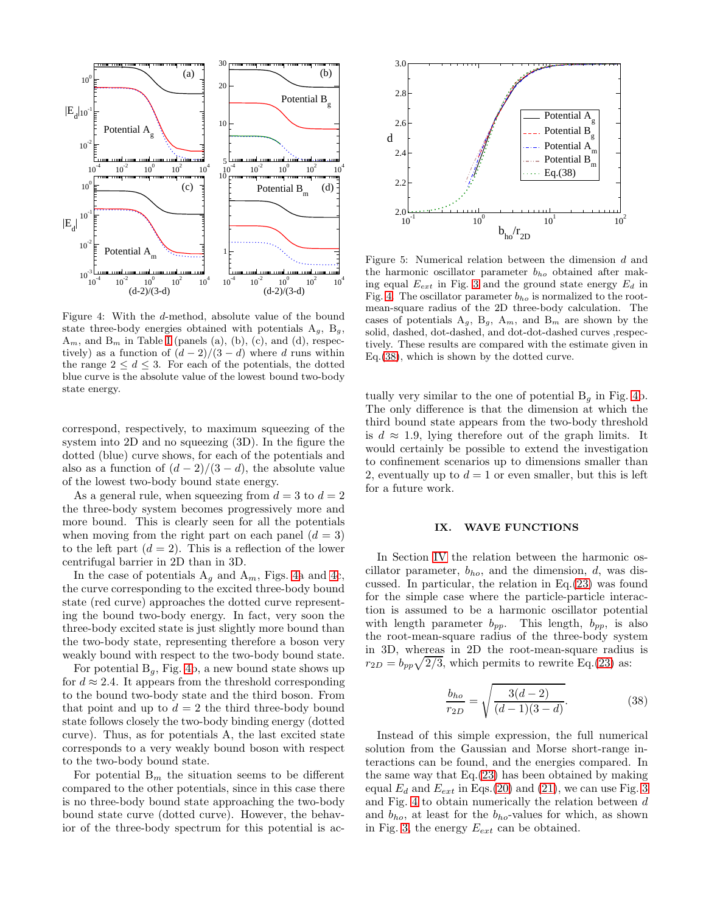

<span id="page-8-1"></span>Figure 4: With the d-method, absolute value of the bound state three-body energies obtained with potentials  $A_q$ ,  $B_q$ ,  $A_m$ , and  $B_m$  in Table [I](#page-6-1) (panels (a), (b), (c), and (d), respectively) as a function of  $(d-2)/(3-d)$  where d runs within the range  $2 \leq d \leq 3$ . For each of the potentials, the dotted blue curve is the absolute value of the lowest bound two-body state energy.

correspond, respectively, to maximum squeezing of the system into 2D and no squeezing (3D). In the figure the dotted (blue) curve shows, for each of the potentials and also as a function of  $(d-2)/(3-d)$ , the absolute value of the lowest two-body bound state energy.

As a general rule, when squeezing from  $d = 3$  to  $d = 2$ the three-body system becomes progressively more and more bound. This is clearly seen for all the potentials when moving from the right part on each panel  $(d = 3)$ to the left part  $(d = 2)$ . This is a reflection of the lower centrifugal barrier in 2D than in 3D.

In the case of potentials  $A<sub>g</sub>$  and  $A<sub>m</sub>$ , Figs. [4a](#page-8-1) and [4c](#page-8-1), the curve corresponding to the excited three-body bound state (red curve) approaches the dotted curve representing the bound two-body energy. In fact, very soon the three-body excited state is just slightly more bound than the two-body state, representing therefore a boson very weakly bound with respect to the two-body bound state.

For potential  $B_q$ , Fig. [4b](#page-8-1), a new bound state shows up for  $d \approx 2.4$ . It appears from the threshold corresponding to the bound two-body state and the third boson. From that point and up to  $d = 2$  the third three-body bound state follows closely the two-body binding energy (dotted curve). Thus, as for potentials A, the last excited state corresponds to a very weakly bound boson with respect to the two-body bound state.

For potential  $B_m$  the situation seems to be different compared to the other potentials, since in this case there is no three-body bound state approaching the two-body bound state curve (dotted curve). However, the behavior of the three-body spectrum for this potential is ac-



<span id="page-8-3"></span>Figure 5: Numerical relation between the dimension d and the harmonic oscillator parameter  $b_{ho}$  obtained after making equal  $E_{ext}$  in Fig. [3](#page-7-2) and the ground state energy  $E_d$  in Fig. [4.](#page-8-1) The oscillator parameter  $b_{ho}$  is normalized to the rootmean-square radius of the 2D three-body calculation. The cases of potentials  $A_g$ ,  $B_g$ ,  $A_m$ , and  $B_m$  are shown by the solid, dashed, dot-dashed, and dot-dot-dashed curves ,respectively. These results are compared with the estimate given in Eq.[\(38\)](#page-8-2), which is shown by the dotted curve.

tually very similar to the one of potential  $B<sub>q</sub>$  in Fig. [4b](#page-8-1). The only difference is that the dimension at which the third bound state appears from the two-body threshold is  $d \approx 1.9$ , lying therefore out of the graph limits. It would certainly be possible to extend the investigation to confinement scenarios up to dimensions smaller than 2, eventually up to  $d = 1$  or even smaller, but this is left for a future work.

#### <span id="page-8-0"></span>IX. WAVE FUNCTIONS

In Section [IV](#page-3-0) the relation between the harmonic oscillator parameter,  $b_{ho}$ , and the dimension,  $d$ , was discussed. In particular, the relation in Eq.[\(23\)](#page-4-1) was found for the simple case where the particle-particle interaction is assumed to be a harmonic oscillator potential with length parameter  $b_{pp}$ . This length,  $b_{pp}$ , is also the root-mean-square radius of the three-body system in 3D, whereas in 2D the root-mean-square radius is  $r_{2D} = b_{pp}\sqrt{2/3}$ , which permits to rewrite Eq.[\(23\)](#page-4-1) as:

<span id="page-8-2"></span>
$$
\frac{b_{ho}}{r_{2D}} = \sqrt{\frac{3(d-2)}{(d-1)(3-d)}}.
$$
\n(38)

Instead of this simple expression, the full numerical solution from the Gaussian and Morse short-range interactions can be found, and the energies compared. In the same way that Eq.[\(23\)](#page-4-1) has been obtained by making equal  $E_d$  and  $E_{ext}$  in Eqs.[\(20\)](#page-3-2) and [\(21\)](#page-3-3), we can use Fig. [3](#page-7-2) and Fig. [4](#page-8-1) to obtain numerically the relation between  $\boldsymbol{d}$ and  $b_{ho}$ , at least for the  $b_{ho}$ -values for which, as shown in Fig. [3,](#page-7-2) the energy  $E_{ext}$  can be obtained.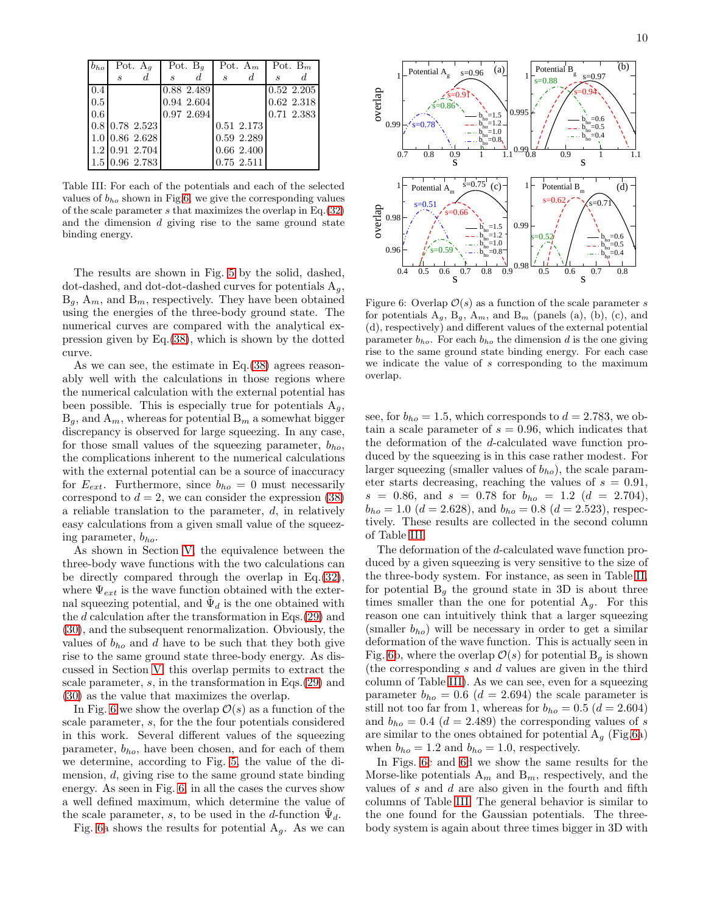| $b_{ho}$ | Pot. $A_q$                  |                                          | Pot. $B_q$        |             | Pot. $A_m$                  |            | Pot. $B_m$                  |              |
|----------|-----------------------------|------------------------------------------|-------------------|-------------|-----------------------------|------------|-----------------------------|--------------|
|          | $\mathcal{S}_{\mathcal{S}}$ | d.                                       | $\mathcal{S}_{0}$ | d.          | $\mathcal{S}_{\mathcal{S}}$ | d          | $\mathcal{S}_{\mathcal{S}}$ |              |
| 0.4      |                             |                                          |                   | 0.88 2.489  |                             |            |                             | 0.52 2.205   |
| 0.5      |                             |                                          |                   | 0.94 2.604  |                             |            |                             | $0.62$ 2.318 |
| 0.6      |                             |                                          |                   | 0.97, 2.694 |                             |            |                             | 0.71 2.383   |
|          |                             | 0.8 0.78 2.523                           |                   |             |                             | 0.51 2.173 |                             |              |
|          |                             | $1.0$ 0.86 2.628                         |                   |             |                             | 0.59 2.289 |                             |              |
|          |                             | $1.2$ 0.91 2.704                         |                   |             |                             | 0.66 2.400 |                             |              |
|          |                             | $1.5 \,   \, 0.96 \,   \, 2.783 \,   \,$ |                   |             |                             | 0.75 2.511 |                             |              |

<span id="page-9-1"></span>Table III: For each of the potentials and each of the selected values of  $b_{ho}$  shown in Fig[.6,](#page-9-0) we give the corresponding values of the scale parameter s that maximizes the overlap in Eq.[\(32\)](#page-5-1) and the dimension  $d$  giving rise to the same ground state binding energy.

The results are shown in Fig. [5](#page-8-3) by the solid, dashed, dot-dashed, and dot-dot-dashed curves for potentials  $A_q$ ,  $B_q$ ,  $A_m$ , and  $B_m$ , respectively. They have been obtained using the energies of the three-body ground state. The numerical curves are compared with the analytical expression given by Eq.[\(38\)](#page-8-2), which is shown by the dotted curve.

As we can see, the estimate in Eq.[\(38\)](#page-8-2) agrees reasonably well with the calculations in those regions where the numerical calculation with the external potential has been possible. This is especially true for potentials  $A<sub>g</sub>$ ,  $B_q$ , and  $A_m$ , whereas for potential  $B_m$  a somewhat bigger discrepancy is observed for large squeezing. In any case, for those small values of the squeezing parameter,  $b_{ho}$ , the complications inherent to the numerical calculations with the external potential can be a source of inaccuracy for  $E_{ext}$ . Furthermore, since  $b_{ho} = 0$  must necessarily correspond to  $d = 2$ , we can consider the expression [\(38\)](#page-8-2) a reliable translation to the parameter, d, in relatively easy calculations from a given small value of the squeezing parameter,  $b_{ho}$ .

As shown in Section [V,](#page-4-0) the equivalence between the three-body wave functions with the two calculations can be directly compared through the overlap in Eq.[\(32\)](#page-5-1), where  $\Psi_{ext}$  is the wave function obtained with the external squeezing potential, and  $\tilde{\Psi}_d$  is the one obtained with the d calculation after the transformation in Eqs.[\(29\)](#page-4-7) and [\(30\)](#page-4-7), and the subsequent renormalization. Obviously, the values of  $b_{ho}$  and d have to be such that they both give rise to the same ground state three-body energy. As discussed in Section [V,](#page-4-0) this overlap permits to extract the scale parameter, s, in the transformation in Eqs.[\(29\)](#page-4-7) and [\(30\)](#page-4-7) as the value that maximizes the overlap.

In Fig. [6](#page-9-0) we show the overlap  $\mathcal{O}(s)$  as a function of the scale parameter, s, for the the four potentials considered in this work. Several different values of the squeezing parameter,  $b_{ho}$ , have been chosen, and for each of them we determine, according to Fig. [5,](#page-8-3) the value of the dimension, d, giving rise to the same ground state binding energy. As seen in Fig. [6,](#page-9-0) in all the cases the curves show a well defined maximum, which determine the value of the scale parameter, s, to be used in the d-function  $\tilde{\Psi}_d$ .

Fig. [6a](#page-9-0) shows the results for potential  $A<sub>g</sub>$ . As we can



<span id="page-9-0"></span>Figure 6: Overlap  $\mathcal{O}(s)$  as a function of the scale parameter s for potentials  $A_g$ ,  $B_g$ ,  $A_m$ , and  $B_m$  (panels (a), (b), (c), and (d), respectively) and different values of the external potential parameter  $b_{ho}$ . For each  $b_{ho}$  the dimension d is the one giving rise to the same ground state binding energy. For each case we indicate the value of s corresponding to the maximum overlap.

see, for  $b_{ho} = 1.5$ , which corresponds to  $d = 2.783$ , we obtain a scale parameter of  $s = 0.96$ , which indicates that the deformation of the d-calculated wave function produced by the squeezing is in this case rather modest. For larger squeezing (smaller values of  $b_{ho}$ ), the scale parameter starts decreasing, reaching the values of  $s = 0.91$ ,  $s = 0.86$ , and  $s = 0.78$  for  $b_{ho} = 1.2$   $(d = 2.704)$ ,  $b_{ho} = 1.0$  ( $d = 2.628$ ), and  $b_{ho} = 0.8$  ( $d = 2.523$ ), respectively. These results are collected in the second column of Table [III.](#page-9-1)

The deformation of the d-calculated wave function produced by a given squeezing is very sensitive to the size of the three-body system. For instance, as seen in Table [II,](#page-7-3) for potential  $B<sub>g</sub>$  the ground state in 3D is about three times smaller than the one for potential  $A<sub>g</sub>$ . For this reason one can intuitively think that a larger squeezing (smaller  $b_{ho}$ ) will be necessary in order to get a similar deformation of the wave function. This is actually seen in Fig. [6b](#page-9-0), where the overlap  $\mathcal{O}(s)$  for potential  $B<sub>q</sub>$  is shown (the corresponding s and d values are given in the third column of Table [III\)](#page-9-1). As we can see, even for a squeezing parameter  $b_{ho} = 0.6$  ( $d = 2.694$ ) the scale parameter is still not too far from 1, whereas for  $b_{ho} = 0.5$   $(d = 2.604)$ and  $b_{ho} = 0.4$  ( $d = 2.489$ ) the corresponding values of s are similar to the ones obtained for potential  $A_g$  (Fig[.6a](#page-9-0)) when  $b_{ho} = 1.2$  and  $b_{ho} = 1.0$ , respectively.

In Figs. [6c](#page-9-0) and [6d](#page-9-0) we show the same results for the Morse-like potentials  $A_m$  and  $B_m$ , respectively, and the values of  $s$  and  $d$  are also given in the fourth and fifth columns of Table [III.](#page-9-1) The general behavior is similar to the one found for the Gaussian potentials. The threebody system is again about three times bigger in 3D with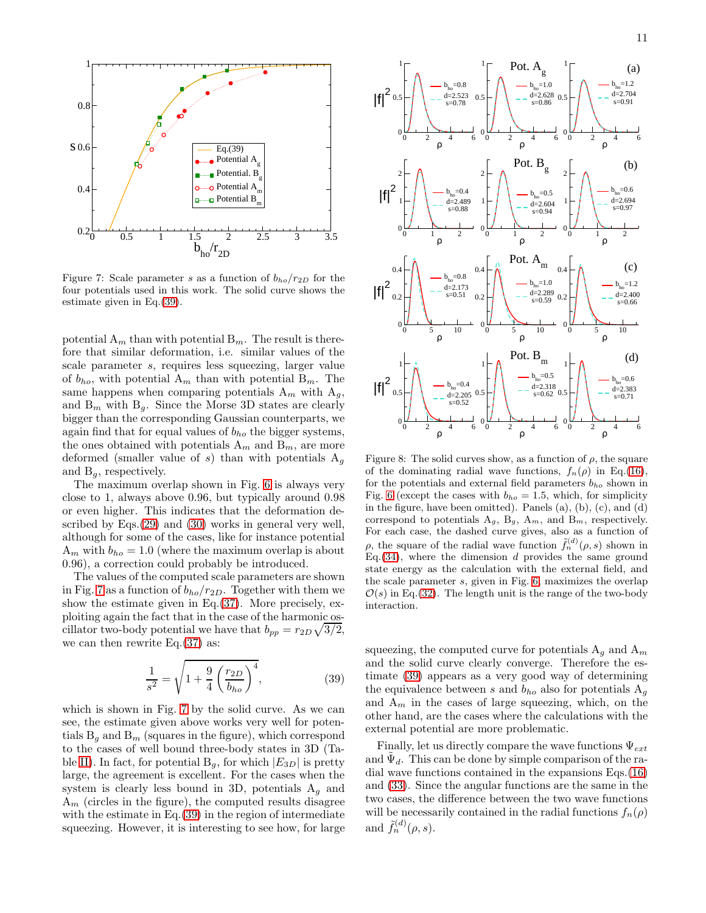

<span id="page-10-1"></span>Figure 7: Scale parameter s as a function of  $b_{ho}/r_{2D}$  for the four potentials used in this work. The solid curve shows the estimate given in Eq.[\(39\)](#page-10-0).

potential  $A_m$  than with potential  $B_m$ . The result is therefore that similar deformation, i.e. similar values of the scale parameter s, requires less squeezing, larger value of  $b_{ho}$ , with potential  $A_m$  than with potential  $B_m$ . The same happens when comparing potentials  $A_m$  with  $A_g$ , and  $B_m$  with  $B_g$ . Since the Morse 3D states are clearly bigger than the corresponding Gaussian counterparts, we again find that for equal values of  $b_{ho}$  the bigger systems, the ones obtained with potentials  $A_m$  and  $B_m$ , are more deformed (smaller value of s) than with potentials  $A_q$ and  $B_{\alpha}$ , respectively.

The maximum overlap shown in Fig. [6](#page-9-0) is always very close to 1, always above 0.96, but typically around 0.98 or even higher. This indicates that the deformation described by Eqs.[\(29\)](#page-4-7) and [\(30\)](#page-4-7) works in general very well, although for some of the cases, like for instance potential  $A_m$  with  $b_{ho} = 1.0$  (where the maximum overlap is about 0.96), a correction could probably be introduced.

The values of the computed scale parameters are shown in Fig. [7](#page-10-1) as a function of  $b_{ho}/r_{2D}$ . Together with them we show the estimate given in Eq.[\(37\)](#page-5-2). More precisely, exploiting again the fact that in the case of the harmonic oscillator two-body potential we have that  $b_{pp} = r_{2D}\sqrt{3/2}$ , we can then rewrite  $Eq.(37)$  $Eq.(37)$  as:

<span id="page-10-0"></span>
$$
\frac{1}{s^2} = \sqrt{1 + \frac{9}{4} \left(\frac{r_{2D}}{b_{ho}}\right)^4},
$$
\n(39)

which is shown in Fig. [7](#page-10-1) by the solid curve. As we can see, the estimate given above works very well for potentials  $B<sub>g</sub>$  and  $B<sub>m</sub>$  (squares in the figure), which correspond to the cases of well bound three-body states in 3D (Ta-ble [II\)](#page-7-3). In fact, for potential  $B_q$ , for which  $|E_{3D}|$  is pretty large, the agreement is excellent. For the cases when the system is clearly less bound in 3D, potentials  $A_q$  and  $A_m$  (circles in the figure), the computed results disagree with the estimate in Eq. [\(39\)](#page-10-0) in the region of intermediate squeezing. However, it is interesting to see how, for large



<span id="page-10-2"></span>Figure 8: The solid curves show, as a function of  $\rho$ , the square of the dominating radial wave functions,  $f_n(\rho)$  in Eq.[\(16\)](#page-2-5), for the potentials and external field parameters  $b_{ho}$  shown in Fig. [6](#page-9-0) (except the cases with  $b_{ho} = 1.5$ , which, for simplicity in the figure, have been omitted). Panels (a), (b), (c), and (d) correspond to potentials  $A_g$ ,  $B_g$ ,  $A_m$ , and  $B_m$ , respectively. For each case, the dashed curve gives, also as a function of  $\rho$ , the square of the radial wave function  $\tilde{f}_n^{(d)}(\rho, s)$  shown in Eq.  $(34)$ , where the dimension d provides the same ground state energy as the calculation with the external field, and the scale parameter s, given in Fig. [6,](#page-9-0) maximizes the overlap  $\mathcal{O}(s)$  in Eq.[\(32\)](#page-5-1). The length unit is the range of the two-body interaction.

squeezing, the computed curve for potentials  $A_q$  and  $A_m$ and the solid curve clearly converge. Therefore the estimate [\(39\)](#page-10-0) appears as a very good way of determining the equivalence between s and  $b_{ho}$  also for potentials  $A_g$ and  $A_m$  in the cases of large squeezing, which, on the other hand, are the cases where the calculations with the external potential are more problematic.

Finally, let us directly compare the wave functions  $\Psi_{ext}$ and  $\tilde{\Psi}_d$ . This can be done by simple comparison of the radial wave functions contained in the expansions Eqs.[\(16\)](#page-2-5) and [\(33\)](#page-5-4). Since the angular functions are the same in the two cases, the difference between the two wave functions will be necessarily contained in the radial functions  $f_n(\rho)$ and  $\tilde{f}_n^{(d)}(\rho, s)$ .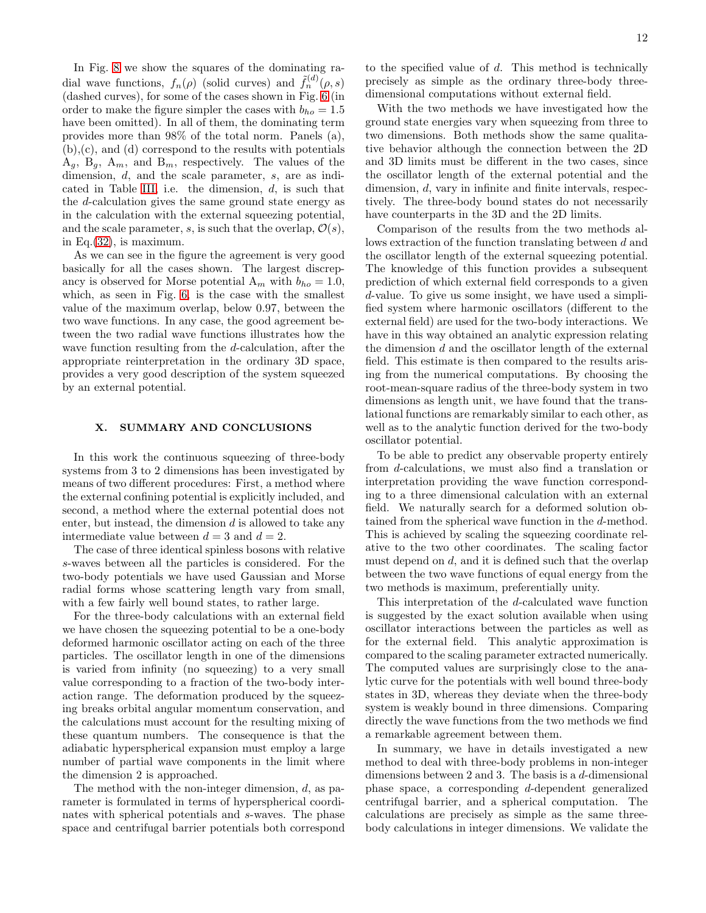In Fig. [8](#page-10-2) we show the squares of the dominating radial wave functions,  $f_n(\rho)$  (solid curves) and  $\tilde{f}_n^{(d)}(\rho, s)$ (dashed curves), for some of the cases shown in Fig. [6](#page-9-0) (in order to make the figure simpler the cases with  $b_{ho} = 1.5$ have been omitted). In all of them, the dominating term provides more than 98% of the total norm. Panels (a), (b),(c), and (d) correspond to the results with potentials  $A_g$ ,  $B_g$ ,  $A_m$ , and  $B_m$ , respectively. The values of the dimension, d, and the scale parameter, s, are as indi-cated in Table [III,](#page-9-1) i.e. the dimension,  $d$ , is such that the d-calculation gives the same ground state energy as in the calculation with the external squeezing potential, and the scale parameter, s, is such that the overlap,  $\mathcal{O}(s)$ , in Eq.[\(32\)](#page-5-1), is maximum.

As we can see in the figure the agreement is very good basically for all the cases shown. The largest discrepancy is observed for Morse potential  $A_m$  with  $b_{ho} = 1.0$ , which, as seen in Fig. [6,](#page-9-0) is the case with the smallest value of the maximum overlap, below 0.97, between the two wave functions. In any case, the good agreement between the two radial wave functions illustrates how the wave function resulting from the d-calculation, after the appropriate reinterpretation in the ordinary 3D space, provides a very good description of the system squeezed by an external potential.

## <span id="page-11-0"></span>X. SUMMARY AND CONCLUSIONS

In this work the continuous squeezing of three-body systems from 3 to 2 dimensions has been investigated by means of two different procedures: First, a method where the external confining potential is explicitly included, and second, a method where the external potential does not enter, but instead, the dimension d is allowed to take any intermediate value between  $d = 3$  and  $d = 2$ .

The case of three identical spinless bosons with relative s-waves between all the particles is considered. For the two-body potentials we have used Gaussian and Morse radial forms whose scattering length vary from small, with a few fairly well bound states, to rather large.

For the three-body calculations with an external field we have chosen the squeezing potential to be a one-body deformed harmonic oscillator acting on each of the three particles. The oscillator length in one of the dimensions is varied from infinity (no squeezing) to a very small value corresponding to a fraction of the two-body interaction range. The deformation produced by the squeezing breaks orbital angular momentum conservation, and the calculations must account for the resulting mixing of these quantum numbers. The consequence is that the adiabatic hyperspherical expansion must employ a large number of partial wave components in the limit where the dimension 2 is approached.

The method with the non-integer dimension, d, as parameter is formulated in terms of hyperspherical coordinates with spherical potentials and s-waves. The phase space and centrifugal barrier potentials both correspond

to the specified value of  $d$ . This method is technically precisely as simple as the ordinary three-body threedimensional computations without external field.

With the two methods we have investigated how the ground state energies vary when squeezing from three to two dimensions. Both methods show the same qualitative behavior although the connection between the 2D and 3D limits must be different in the two cases, since the oscillator length of the external potential and the dimension, d, vary in infinite and finite intervals, respectively. The three-body bound states do not necessarily have counterparts in the 3D and the 2D limits.

Comparison of the results from the two methods allows extraction of the function translating between d and the oscillator length of the external squeezing potential. The knowledge of this function provides a subsequent prediction of which external field corresponds to a given d-value. To give us some insight, we have used a simplified system where harmonic oscillators (different to the external field) are used for the two-body interactions. We have in this way obtained an analytic expression relating the dimension  $d$  and the oscillator length of the external field. This estimate is then compared to the results arising from the numerical computations. By choosing the root-mean-square radius of the three-body system in two dimensions as length unit, we have found that the translational functions are remarkably similar to each other, as well as to the analytic function derived for the two-body oscillator potential.

To be able to predict any observable property entirely from d-calculations, we must also find a translation or interpretation providing the wave function corresponding to a three dimensional calculation with an external field. We naturally search for a deformed solution obtained from the spherical wave function in the d-method. This is achieved by scaling the squeezing coordinate relative to the two other coordinates. The scaling factor must depend on d, and it is defined such that the overlap between the two wave functions of equal energy from the two methods is maximum, preferentially unity.

This interpretation of the d-calculated wave function is suggested by the exact solution available when using oscillator interactions between the particles as well as for the external field. This analytic approximation is compared to the scaling parameter extracted numerically. The computed values are surprisingly close to the analytic curve for the potentials with well bound three-body states in 3D, whereas they deviate when the three-body system is weakly bound in three dimensions. Comparing directly the wave functions from the two methods we find a remarkable agreement between them.

In summary, we have in details investigated a new method to deal with three-body problems in non-integer dimensions between 2 and 3. The basis is a d-dimensional phase space, a corresponding d-dependent generalized centrifugal barrier, and a spherical computation. The calculations are precisely as simple as the same threebody calculations in integer dimensions. We validate the